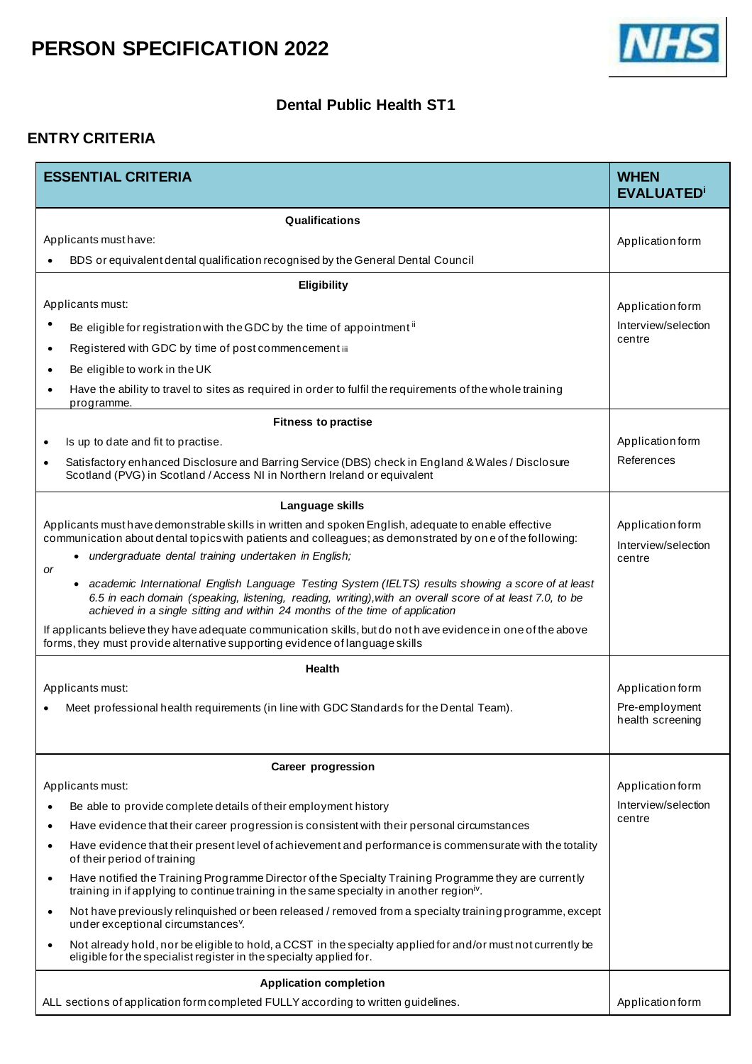

#### **Dental Public Health ST1**

#### **ENTRY CRITERIA**

| <b>ESSENTIAL CRITERIA</b>                                                                                                                                                                                                                                                                              | <b>WHEN</b><br><b>EVALUATED</b> <sup>i</sup> |  |  |
|--------------------------------------------------------------------------------------------------------------------------------------------------------------------------------------------------------------------------------------------------------------------------------------------------------|----------------------------------------------|--|--|
| Qualifications                                                                                                                                                                                                                                                                                         |                                              |  |  |
| Applicants must have:                                                                                                                                                                                                                                                                                  | Application form                             |  |  |
| BDS or equivalent dental qualification recognised by the General Dental Council                                                                                                                                                                                                                        |                                              |  |  |
| Eligibility                                                                                                                                                                                                                                                                                            |                                              |  |  |
| Applicants must:                                                                                                                                                                                                                                                                                       | Application form                             |  |  |
| Be eligible for registration with the GDC by the time of appointment <sup>ii</sup>                                                                                                                                                                                                                     | Interview/selection<br>centre                |  |  |
| Registered with GDC by time of post commencement iii<br>$\bullet$                                                                                                                                                                                                                                      |                                              |  |  |
| Be eligible to work in the UK                                                                                                                                                                                                                                                                          |                                              |  |  |
| Have the ability to travel to sites as required in order to fulfil the requirements of the whole training<br>programme.                                                                                                                                                                                |                                              |  |  |
| <b>Fitness to practise</b>                                                                                                                                                                                                                                                                             |                                              |  |  |
| Is up to date and fit to practise.<br>$\bullet$                                                                                                                                                                                                                                                        | Application form                             |  |  |
| Satisfactory enhanced Disclosure and Barring Service (DBS) check in England & Wales / Disclosure<br>$\bullet$<br>Scotland (PVG) in Scotland / Access NI in Northern Ireland or equivalent                                                                                                              | References                                   |  |  |
| Language skills                                                                                                                                                                                                                                                                                        |                                              |  |  |
| Applicants must have demonstrable skills in written and spoken English, adequate to enable effective<br>communication about dental topics with patients and colleagues; as demonstrated by one of the following:                                                                                       | Application form<br>Interview/selection      |  |  |
| • undergraduate dental training undertaken in English;                                                                                                                                                                                                                                                 | centre                                       |  |  |
| or<br>• academic International English Language Testing System (IELTS) results showing a score of at least<br>6.5 in each domain (speaking, listening, reading, writing), with an overall score of at least 7.0, to be<br>achieved in a single sitting and within 24 months of the time of application |                                              |  |  |
| If applicants believe they have adequate communication skills, but do not have evidence in one of the above<br>forms, they must provide alternative supporting evidence of language skills                                                                                                             |                                              |  |  |
| <b>Health</b>                                                                                                                                                                                                                                                                                          |                                              |  |  |
| Applicants must:                                                                                                                                                                                                                                                                                       | Application form                             |  |  |
| Meet professional health requirements (in line with GDC Standards for the Dental Team).                                                                                                                                                                                                                | Pre-employment<br>health screening           |  |  |
| <b>Career progression</b>                                                                                                                                                                                                                                                                              |                                              |  |  |
| Applicants must:                                                                                                                                                                                                                                                                                       | Application form                             |  |  |
| Be able to provide complete details of their employment history<br>$\bullet$                                                                                                                                                                                                                           | Interview/selection<br>centre                |  |  |
| Have evidence that their career progression is consistent with their personal circumstances<br>$\bullet$                                                                                                                                                                                               |                                              |  |  |
| Have evidence that their present level of achievement and performance is commensurate with the totality<br>$\bullet$<br>of their period of training                                                                                                                                                    |                                              |  |  |
| Have notified the Training Programme Director of the Specialty Training Programme they are currently<br>$\bullet$<br>training in if applying to continue training in the same specialty in another region <sup>iv</sup> .                                                                              |                                              |  |  |
| Not have previously relinquished or been released / removed from a specialty training programme, except<br>$\bullet$<br>under exceptional circumstances <sup>v</sup> .                                                                                                                                 |                                              |  |  |
| Not already hold, nor be eligible to hold, a CCST in the specialty applied for and/or must not currently be<br>$\bullet$<br>eligible for the specialist register in the specialty applied for.                                                                                                         |                                              |  |  |
| <b>Application completion</b>                                                                                                                                                                                                                                                                          |                                              |  |  |
| ALL sections of application form completed FULLY according to written guidelines.                                                                                                                                                                                                                      | Application form                             |  |  |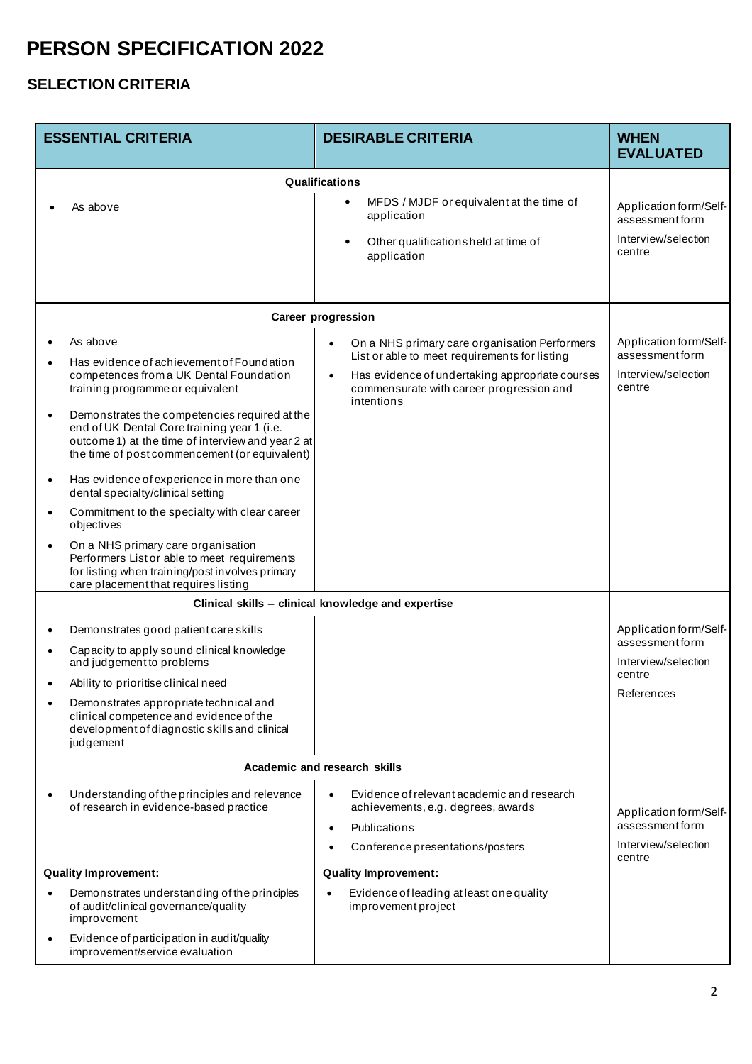### **SELECTION CRITERIA**

|           | <b>ESSENTIAL CRITERIA</b>                                                                                                                                                                          | <b>DESIRABLE CRITERIA</b>                                                                                                                                               | <b>WHEN</b><br><b>EVALUATED</b>                                 |
|-----------|----------------------------------------------------------------------------------------------------------------------------------------------------------------------------------------------------|-------------------------------------------------------------------------------------------------------------------------------------------------------------------------|-----------------------------------------------------------------|
|           |                                                                                                                                                                                                    | Qualifications                                                                                                                                                          |                                                                 |
|           | As above                                                                                                                                                                                           | MFDS / MJDF or equivalent at the time of<br>$\bullet$<br>application<br>Other qualificationsheld at time of<br>$\bullet$                                                | Application form/Self-<br>assessmentform<br>Interview/selection |
|           |                                                                                                                                                                                                    | application                                                                                                                                                             | centre                                                          |
|           |                                                                                                                                                                                                    | Career progression                                                                                                                                                      |                                                                 |
| $\bullet$ | As above                                                                                                                                                                                           | On a NHS primary care organisation Performers                                                                                                                           | Application form/Self-                                          |
| $\bullet$ | Has evidence of achievement of Foundation<br>competences from a UK Dental Foundation<br>training programme or equivalent                                                                           | List or able to meet requirements for listing<br>Has evidence of undertaking appropriate courses<br>$\bullet$<br>commensurate with career progression and<br>intentions | assessmentform<br>Interview/selection<br>centre                 |
| $\bullet$ | Demonstrates the competencies required at the<br>end of UK Dental Core training year 1 (i.e.<br>outcome 1) at the time of interview and year 2 at<br>the time of post commencement (or equivalent) |                                                                                                                                                                         |                                                                 |
| $\bullet$ | Has evidence of experience in more than one<br>dental specialty/clinical setting                                                                                                                   |                                                                                                                                                                         |                                                                 |
| $\bullet$ | Commitment to the specialty with clear career<br>objectives                                                                                                                                        |                                                                                                                                                                         |                                                                 |
| $\bullet$ | On a NHS primary care organisation<br>Performers List or able to meet requirements<br>for listing when training/post involves primary<br>care placement that requires listing                      |                                                                                                                                                                         |                                                                 |
|           |                                                                                                                                                                                                    |                                                                                                                                                                         |                                                                 |
| ٠         | Demonstrates good patient care skills                                                                                                                                                              |                                                                                                                                                                         | Application form/Self-                                          |
| $\bullet$ | Capacity to apply sound clinical knowledge<br>and judgement to problems                                                                                                                            |                                                                                                                                                                         | assessment form<br>Interview/selection                          |
|           | Ability to prioritise clinical need                                                                                                                                                                |                                                                                                                                                                         | centre<br>References                                            |
| $\bullet$ | Demonstrates appropriate technical and<br>clinical competence and evidence of the<br>development of diagnostic skills and clinical<br>judgement                                                    |                                                                                                                                                                         |                                                                 |
|           |                                                                                                                                                                                                    | Academic and research skills                                                                                                                                            |                                                                 |
| $\bullet$ | Understanding of the principles and relevance<br>of research in evidence-based practice                                                                                                            | Evidence of relevant academic and research<br>$\bullet$<br>achievements, e.g. degrees, awards                                                                           | Application form/Self-                                          |
|           |                                                                                                                                                                                                    | Publications<br>$\bullet$                                                                                                                                               | assessmentform                                                  |
|           |                                                                                                                                                                                                    | Conference presentations/posters                                                                                                                                        | Interview/selection<br>centre                                   |
|           | <b>Quality Improvement:</b>                                                                                                                                                                        | <b>Quality Improvement:</b>                                                                                                                                             |                                                                 |
| $\bullet$ | Demonstrates understanding of the principles<br>of audit/clinical governance/quality<br>improvement                                                                                                | Evidence of leading at least one quality<br>$\bullet$<br>improvement project                                                                                            |                                                                 |
| $\bullet$ | Evidence of participation in audit/quality<br>improvement/service evaluation                                                                                                                       |                                                                                                                                                                         |                                                                 |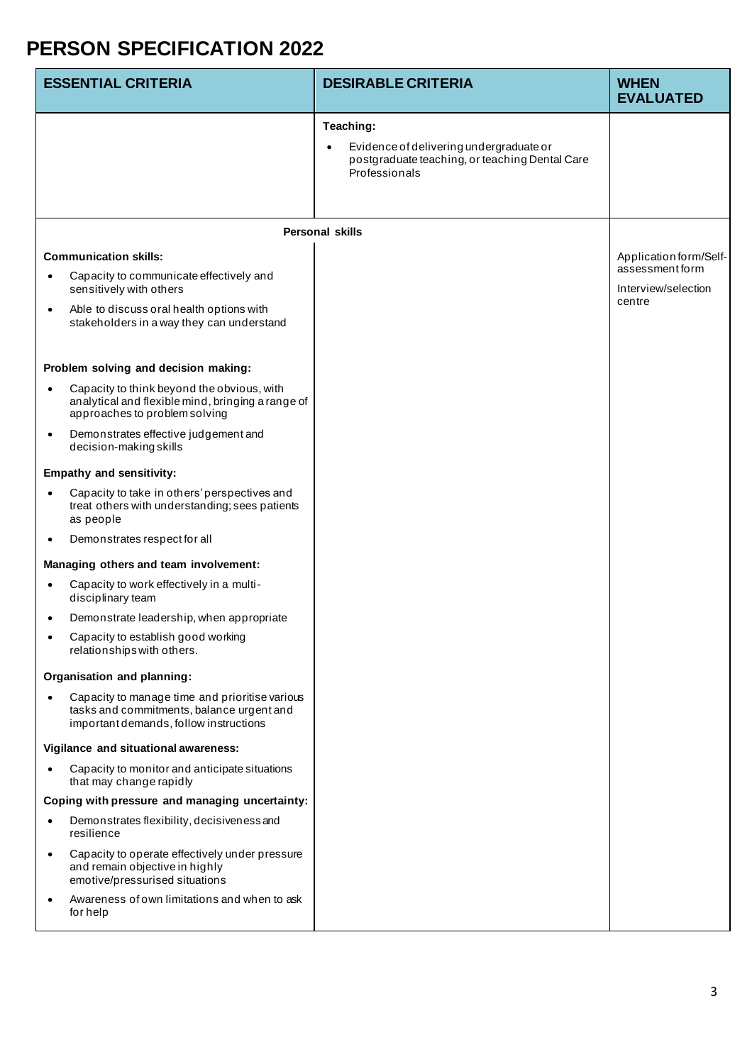| <b>ESSENTIAL CRITERIA</b>                                                                                                                                                                   | <b>DESIRABLE CRITERIA</b>                                                                                               | <b>WHEN</b><br><b>EVALUATED</b>                                            |
|---------------------------------------------------------------------------------------------------------------------------------------------------------------------------------------------|-------------------------------------------------------------------------------------------------------------------------|----------------------------------------------------------------------------|
|                                                                                                                                                                                             | Teaching:<br>Evidence of delivering undergraduate or<br>postgraduate teaching, or teaching Dental Care<br>Professionals |                                                                            |
|                                                                                                                                                                                             | <b>Personal skills</b>                                                                                                  |                                                                            |
| <b>Communication skills:</b><br>Capacity to communicate effectively and<br>sensitively with others<br>Able to discuss oral health options with<br>stakeholders in a way they can understand |                                                                                                                         | Application form/Self-<br>assessment form<br>Interview/selection<br>centre |
| Problem solving and decision making:                                                                                                                                                        |                                                                                                                         |                                                                            |
| Capacity to think beyond the obvious, with<br>analytical and flexible mind, bringing a range of<br>approaches to problem solving                                                            |                                                                                                                         |                                                                            |
| Demonstrates effective judgement and<br>decision-making skills                                                                                                                              |                                                                                                                         |                                                                            |
| <b>Empathy and sensitivity:</b>                                                                                                                                                             |                                                                                                                         |                                                                            |
| Capacity to take in others' perspectives and<br>treat others with understanding; sees patients<br>as people                                                                                 |                                                                                                                         |                                                                            |
| Demonstrates respect for all                                                                                                                                                                |                                                                                                                         |                                                                            |
| Managing others and team involvement:                                                                                                                                                       |                                                                                                                         |                                                                            |
| Capacity to work effectively in a multi-<br>disciplinary team                                                                                                                               |                                                                                                                         |                                                                            |
| Demonstrate leadership, when appropriate                                                                                                                                                    |                                                                                                                         |                                                                            |
| Capacity to establish good working<br>relationships with others.                                                                                                                            |                                                                                                                         |                                                                            |
| Organisation and planning:                                                                                                                                                                  |                                                                                                                         |                                                                            |
| Capacity to manage time and prioritise various<br>tasks and commitments, balance urgent and<br>important demands, follow instructions                                                       |                                                                                                                         |                                                                            |
| Vigilance and situational awareness:                                                                                                                                                        |                                                                                                                         |                                                                            |
| Capacity to monitor and anticipate situations<br>that may change rapidly                                                                                                                    |                                                                                                                         |                                                                            |
| Coping with pressure and managing uncertainty:                                                                                                                                              |                                                                                                                         |                                                                            |
| Demonstrates flexibility, decisiveness and<br>resilience                                                                                                                                    |                                                                                                                         |                                                                            |
| Capacity to operate effectively under pressure<br>$\bullet$<br>and remain objective in highly<br>emotive/pressurised situations                                                             |                                                                                                                         |                                                                            |
| Awareness of own limitations and when to ask<br>for help                                                                                                                                    |                                                                                                                         |                                                                            |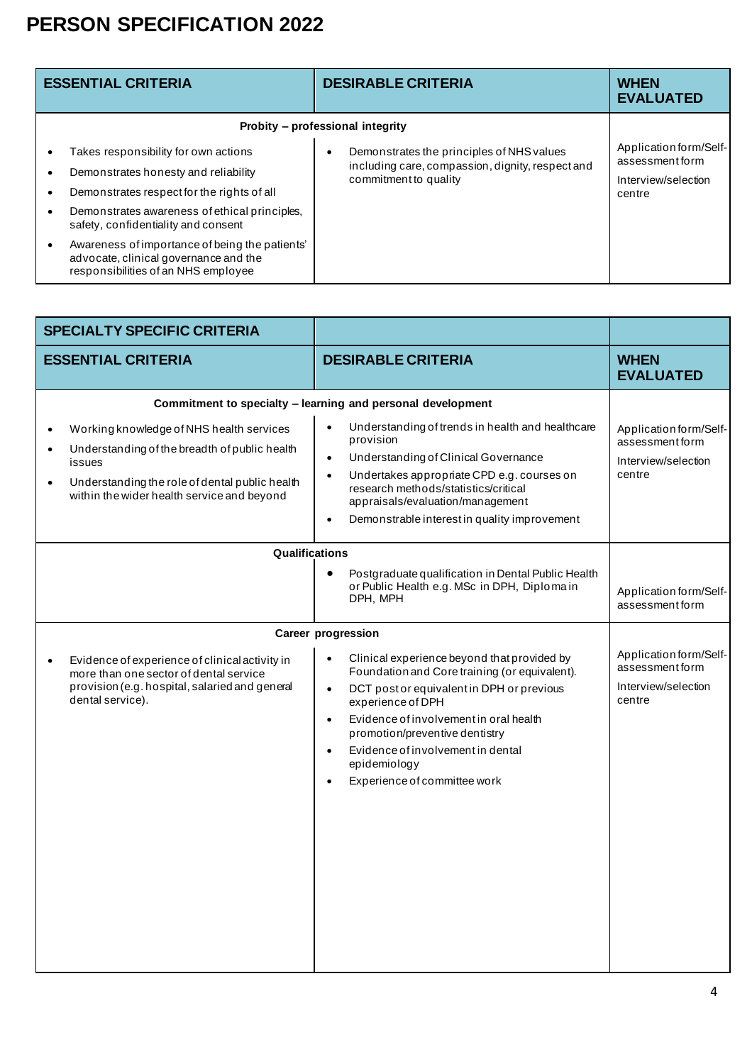| <b>ESSENTIAL CRITERIA</b>                                                                                                                                                                                          | <b>DESIRABLE CRITERIA</b>                                                                                              | <b>WHEN</b><br><b>EVALUATED</b>                                            |
|--------------------------------------------------------------------------------------------------------------------------------------------------------------------------------------------------------------------|------------------------------------------------------------------------------------------------------------------------|----------------------------------------------------------------------------|
| Probity – professional integrity                                                                                                                                                                                   |                                                                                                                        |                                                                            |
| Takes responsibility for own actions<br>Demonstrates honesty and reliability<br>Demonstrates respect for the rights of all<br>Demonstrates awareness of ethical principles,<br>safety, confidentiality and consent | Demonstrates the principles of NHS values<br>including care, compassion, dignity, respect and<br>commitment to quality | Application form/Self-<br>assessment form<br>Interview/selection<br>centre |
| Awareness of importance of being the patients'<br>advocate, clinical governance and the<br>responsibilities of an NHS employee                                                                                     |                                                                                                                        |                                                                            |

| <b>SPECIALTY SPECIFIC CRITERIA</b>                                                                                                                                                                                                         |                                                                                                                                                                                                                                                                                                                                                                                                                               |                                                                            |
|--------------------------------------------------------------------------------------------------------------------------------------------------------------------------------------------------------------------------------------------|-------------------------------------------------------------------------------------------------------------------------------------------------------------------------------------------------------------------------------------------------------------------------------------------------------------------------------------------------------------------------------------------------------------------------------|----------------------------------------------------------------------------|
| <b>ESSENTIAL CRITERIA</b>                                                                                                                                                                                                                  | <b>DESIRABLE CRITERIA</b>                                                                                                                                                                                                                                                                                                                                                                                                     | <b>WHEN</b><br><b>EVALUATED</b>                                            |
| Working knowledge of NHS health services<br>$\bullet$<br>Understanding of the breadth of public health<br>$\bullet$<br>issues<br>Understanding the role of dental public health<br>$\bullet$<br>within the wider health service and beyond | Commitment to specialty - learning and personal development<br>Understanding of trends in health and healthcare<br>provision<br>Understanding of Clinical Governance<br>$\bullet$<br>Undertakes appropriate CPD e.g. courses on<br>$\bullet$<br>research methods/statistics/critical<br>appraisals/evaluation/management<br>Demonstrable interest in quality improvement                                                      | Application form/Self-<br>assessment form<br>Interview/selection<br>centre |
| Qualifications                                                                                                                                                                                                                             | Postgraduate qualification in Dental Public Health<br>or Public Health e.g. MSc in DPH, Diplomain<br>DPH, MPH                                                                                                                                                                                                                                                                                                                 | Application form/Self-<br>assessment form                                  |
| Evidence of experience of clinical activity in<br>$\bullet$<br>more than one sector of dental service<br>provision (e.g. hospital, salaried and general<br>dental service).                                                                | <b>Career progression</b><br>Clinical experience beyond that provided by<br>$\bullet$<br>Foundation and Core training (or equivalent).<br>DCT post or equivalent in DPH or previous<br>$\bullet$<br>experience of DPH<br>Evidence of involvement in oral health<br>$\bullet$<br>promotion/preventive dentistry<br>Evidence of involvement in dental<br>$\bullet$<br>epidemiology<br>Experience of committee work<br>$\bullet$ | Application form/Self-<br>assessment form<br>Interview/selection<br>centre |